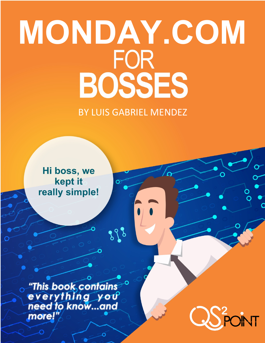# **MONDAY.COM<br>FOR<br>BOSSES**

BY LUIS GABRIEL MENDEZ

898

Ö

Hi boss, we kept it really simple!

**This book contains** everything you more!

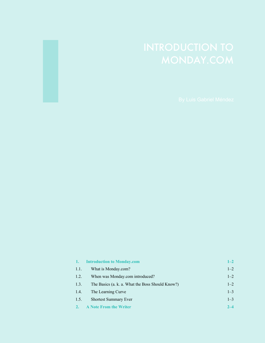| $\left  \cdot \right $ | <b>Introduction to Monday.com</b>                | $1 - 2$ |
|------------------------|--------------------------------------------------|---------|
| 1.1.                   | What is Monday.com?                              | $1 - 2$ |
| 1.2.                   | When was Monday.com introduced?                  | $1 - 2$ |
| 1.3.                   | The Basics (a. k. a. What the Boss Should Know?) | $1 - 2$ |
| 1.4.                   | The Learning Curve                               | $1 - 3$ |
| 1.5.                   | <b>Shortest Summary Ever</b>                     | $1 - 3$ |
|                        | <b>A Note From the Writer</b>                    | $2 - 4$ |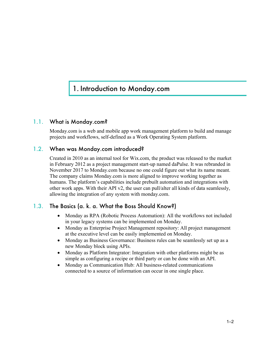# 1. Introduction to Monday.com

### 1.1. What is Monday.com?

Monday.com is a web and mobile app work management platform to build and manage projects and workflows, self-defined as a Work Operating System platform.

### 1.2. When was Monday.com introduced?

Created in 2010 as an internal tool for Wix.com, the product was released to the market in February 2012 as a project management start-up named daPulse. It was rebranded in November 2017 to Monday.com because no one could figure out what its name meant. The company claims Monday.com is more aligned to improve working together as humans. The platform's capabilities include prebuilt automation and integrations with other work apps. With their API v2, the user can pull/alter all kinds of data seamlessly, allowing the integration of any system with monday.com.

# 1.3. The Basics (a. k. a. What the Boss Should Know?)

- Monday as RPA (Robotic Process Automation): All the workflows not included in your legacy systems can be implemented on Monday.
- Monday as Enterprise Project Management repository: All project management at the executive level can be easily implemented on Monday.
- Monday as Business Governance: Business rules can be seamlessly set up as a new Monday block using APIs.
- Monday as Platform Integrator: Integration with other platforms might be as simple as configuring a recipe or third party or can be done with an API.
- Monday as Communication Hub: All business-related communications connected to a source of information can occur in one single place.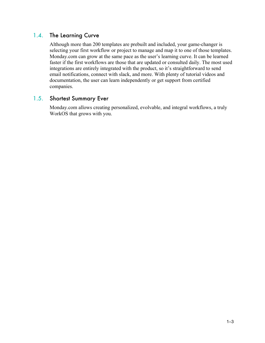# 1.4. The Learning Curve

Although more than 200 templates are prebuilt and included, your game-changer is selecting your first workflow or project to manage and map it to one of those templates. Monday.com can grow at the same pace as the user's learning curve. It can be learned faster if the first workflows are those that are updated or consulted daily. The most used integrations are entirely integrated with the product, so it's straightforward to send email notifications, connect with slack, and more. With plenty of tutorial videos and documentation, the user can learn independently or get support from certified companies.

### 1.5. Shortest Summary Ever

Monday.com allows creating personalized, evolvable, and integral workflows, a truly WorkOS that grows with you.